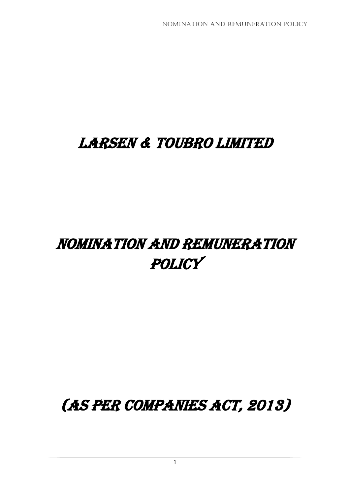# LARSEN & TOUBRO LIMITED

# Nomination and remuneration **POLICY**

(As PER companies act, 2013)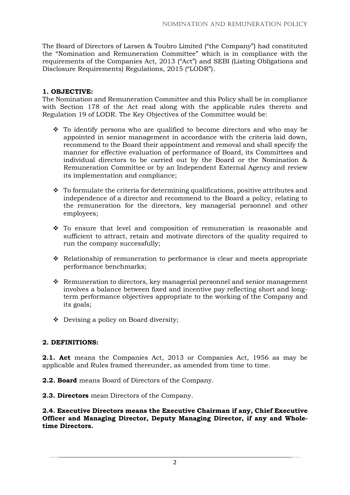The Board of Directors of Larsen & Toubro Limited ("the Company") had constituted the "Nomination and Remuneration Committee" which is in compliance with the requirements of the Companies Act, 2013 ("Act") and SEBI (Listing Obligations and Disclosure Requirements) Regulations, 2015 ("LODR").

# **1. OBJECTIVE:**

The Nomination and Remuneration Committee and this Policy shall be in compliance with Section 178 of the Act read along with the applicable rules thereto and Regulation 19 of LODR. The Key Objectives of the Committee would be:

- ❖ To identify persons who are qualified to become directors and who may be appointed in senior management in accordance with the criteria laid down, recommend to the Board their appointment and removal and shall specify the manner for effective evaluation of performance of Board, its Committees and individual directors to be carried out by the Board or the Nomination & Remuneration Committee or by an Independent External Agency and review its implementation and compliance;
- ❖ To formulate the criteria for determining qualifications, positive attributes and independence of a director and recommend to the Board a policy, relating to the remuneration for the directors, key managerial personnel and other employees;
- ❖ To ensure that level and composition of remuneration is reasonable and sufficient to attract, retain and motivate directors of the quality required to run the company successfully;
- ❖ Relationship of remuneration to performance is clear and meets appropriate performance benchmarks;
- ❖ Remuneration to directors, key managerial personnel and senior management involves a balance between fixed and incentive pay reflecting short and longterm performance objectives appropriate to the working of the Company and its goals;
- ❖ Devising a policy on Board diversity;

#### **2. DEFINITIONS:**

**2.1. Act** means the Companies Act, 2013 or Companies Act, 1956 as may be applicable and Rules framed thereunder, as amended from time to time.

- **2.2. Board** means Board of Directors of the Company.
- **2.3. Directors** mean Directors of the Company.

**2.4. Executive Directors means the Executive Chairman if any, Chief Executive Officer and Managing Director, Deputy Managing Director, if any and Wholetime Directors.**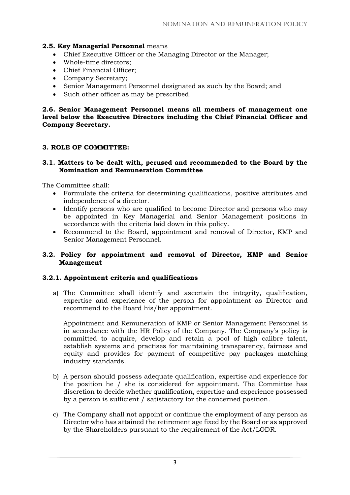#### **2.5. Key Managerial Personnel** means

- Chief Executive Officer or the Managing Director or the Manager;
- Whole-time directors;
- Chief Financial Officer;
- Company Secretary;
- Senior Management Personnel designated as such by the Board; and
- Such other officer as may be prescribed.

**2.6. Senior Management Personnel means all members of management one level below the Executive Directors including the Chief Financial Officer and Company Secretary.**

#### **3. ROLE OF COMMITTEE:**

#### **3.1. Matters to be dealt with, perused and recommended to the Board by the Nomination and Remuneration Committee**

The Committee shall:

- Formulate the criteria for determining qualifications, positive attributes and independence of a director.
- Identify persons who are qualified to become Director and persons who may be appointed in Key Managerial and Senior Management positions in accordance with the criteria laid down in this policy.
- Recommend to the Board, appointment and removal of Director, KMP and Senior Management Personnel.

#### **3.2. Policy for appointment and removal of Director, KMP and Senior Management**

#### **3.2.1. Appointment criteria and qualifications**

a) The Committee shall identify and ascertain the integrity, qualification, expertise and experience of the person for appointment as Director and recommend to the Board his/her appointment.

Appointment and Remuneration of KMP or Senior Management Personnel is in accordance with the HR Policy of the Company. The Company's policy is committed to acquire, develop and retain a pool of high calibre talent, establish systems and practises for maintaining transparency, fairness and equity and provides for payment of competitive pay packages matching industry standards.

- b) A person should possess adequate qualification, expertise and experience for the position he / she is considered for appointment. The Committee has discretion to decide whether qualification, expertise and experience possessed by a person is sufficient / satisfactory for the concerned position.
- c) The Company shall not appoint or continue the employment of any person as Director who has attained the retirement age fixed by the Board or as approved by the Shareholders pursuant to the requirement of the Act/LODR.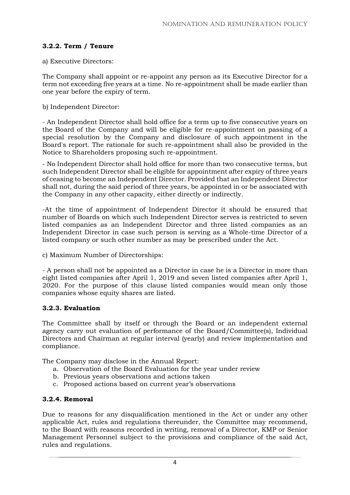# **3.2.2. Term / Tenure**

a) Executive Directors:

The Company shall appoint or re-appoint any person as its Executive Director for a term not exceeding five years at a time. No re-appointment shall be made earlier than one year before the expiry of term.

b) Independent Director:

- An Independent Director shall hold office for a term up to five consecutive years on the Board of the Company and will be eligible for re-appointment on passing of a special resolution by the Company and disclosure of such appointment in the Board's report. The rationale for such re-appointment shall also be provided in the Notice to Shareholders proposing such re-appointment.

- No Independent Director shall hold office for more than two consecutive terms, but such Independent Director shall be eligible for appointment after expiry of three years of ceasing to become an Independent Director. Provided that an Independent Director shall not, during the said period of three years, be appointed in or be associated with the Company in any other capacity, either directly or indirectly.

-At the time of appointment of Independent Director it should be ensured that number of Boards on which such Independent Director serves is restricted to seven listed companies as an Independent Director and three listed companies as an Independent Director in case such person is serving as a Whole-time Director of a listed company or such other number as may be prescribed under the Act.

c) Maximum Number of Directorships:

- A person shall not be appointed as a Director in case he is a Director in more than eight listed companies after April 1, 2019 and seven listed companies after April 1, 2020. For the purpose of this clause listed companies would mean only those companies whose equity shares are listed.

#### **3.2.3. Evaluation**

The Committee shall by itself or through the Board or an independent external agency carry out evaluation of performance of the Board/Committee(s), Individual Directors and Chairman at regular interval (yearly) and review implementation and compliance.

The Company may disclose in the Annual Report:

- a. Observation of the Board Evaluation for the year under review
- b. Previous years observations and actions taken
- c. Proposed actions based on current year's observations

#### **3.2.4. Removal**

Due to reasons for any disqualification mentioned in the Act or under any other applicable Act, rules and regulations thereunder, the Committee may recommend, to the Board with reasons recorded in writing, removal of a Director, KMP or Senior Management Personnel subject to the provisions and compliance of the said Act, rules and regulations.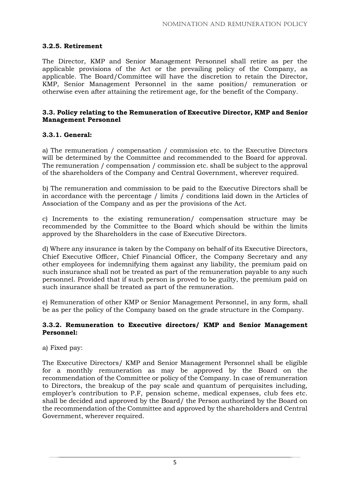## **3.2.5. Retirement**

The Director, KMP and Senior Management Personnel shall retire as per the applicable provisions of the Act or the prevailing policy of the Company, as applicable. The Board/Committee will have the discretion to retain the Director, KMP, Senior Management Personnel in the same position/ remuneration or otherwise even after attaining the retirement age, for the benefit of the Company.

#### **3.3. Policy relating to the Remuneration of Executive Director, KMP and Senior Management Personnel**

## **3.3.1. General:**

a) The remuneration / compensation / commission etc. to the Executive Directors will be determined by the Committee and recommended to the Board for approval. The remuneration / compensation / commission etc. shall be subject to the approval of the shareholders of the Company and Central Government, wherever required.

b) The remuneration and commission to be paid to the Executive Directors shall be in accordance with the percentage / limits / conditions laid down in the Articles of Association of the Company and as per the provisions of the Act.

c) Increments to the existing remuneration/ compensation structure may be recommended by the Committee to the Board which should be within the limits approved by the Shareholders in the case of Executive Directors.

d) Where any insurance is taken by the Company on behalf of its Executive Directors, Chief Executive Officer, Chief Financial Officer, the Company Secretary and any other employees for indemnifying them against any liability, the premium paid on such insurance shall not be treated as part of the remuneration payable to any such personnel. Provided that if such person is proved to be guilty, the premium paid on such insurance shall be treated as part of the remuneration.

e) Remuneration of other KMP or Senior Management Personnel, in any form, shall be as per the policy of the Company based on the grade structure in the Company.

#### **3.3.2. Remuneration to Executive directors/ KMP and Senior Management Personnel:**

a) Fixed pay:

The Executive Directors/ KMP and Senior Management Personnel shall be eligible for a monthly remuneration as may be approved by the Board on the recommendation of the Committee or policy of the Company. In case of remuneration to Directors, the breakup of the pay scale and quantum of perquisites including, employer's contribution to P.F, pension scheme, medical expenses, club fees etc. shall be decided and approved by the Board/ the Person authorized by the Board on the recommendation of the Committee and approved by the shareholders and Central Government, wherever required.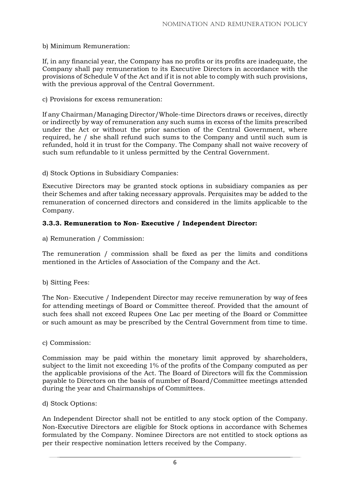#### b) Minimum Remuneration:

If, in any financial year, the Company has no profits or its profits are inadequate, the Company shall pay remuneration to its Executive Directors in accordance with the provisions of Schedule V of the Act and if it is not able to comply with such provisions, with the previous approval of the Central Government.

#### c) Provisions for excess remuneration:

If any Chairman/Managing Director/Whole-time Directors draws or receives, directly or indirectly by way of remuneration any such sums in excess of the limits prescribed under the Act or without the prior sanction of the Central Government, where required, he / she shall refund such sums to the Company and until such sum is refunded, hold it in trust for the Company. The Company shall not waive recovery of such sum refundable to it unless permitted by the Central Government.

#### d) Stock Options in Subsidiary Companies:

Executive Directors may be granted stock options in subsidiary companies as per their Schemes and after taking necessary approvals. Perquisites may be added to the remuneration of concerned directors and considered in the limits applicable to the Company.

#### **3.3.3. Remuneration to Non- Executive / Independent Director:**

a) Remuneration / Commission:

The remuneration / commission shall be fixed as per the limits and conditions mentioned in the Articles of Association of the Company and the Act.

b) Sitting Fees:

The Non- Executive / Independent Director may receive remuneration by way of fees for attending meetings of Board or Committee thereof. Provided that the amount of such fees shall not exceed Rupees One Lac per meeting of the Board or Committee or such amount as may be prescribed by the Central Government from time to time.

#### c) Commission:

Commission may be paid within the monetary limit approved by shareholders, subject to the limit not exceeding 1% of the profits of the Company computed as per the applicable provisions of the Act. The Board of Directors will fix the Commission payable to Directors on the basis of number of Board/Committee meetings attended during the year and Chairmanships of Committees.

#### d) Stock Options:

An Independent Director shall not be entitled to any stock option of the Company. Non-Executive Directors are eligible for Stock options in accordance with Schemes formulated by the Company. Nominee Directors are not entitled to stock options as per their respective nomination letters received by the Company.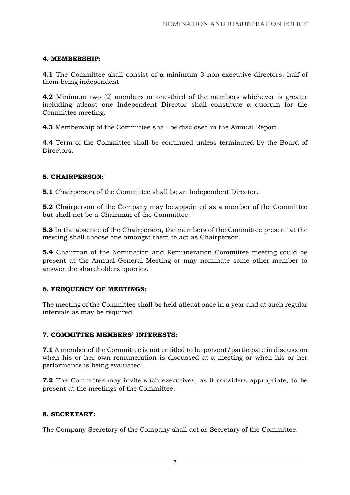#### **4. MEMBERSHIP:**

**4.1** The Committee shall consist of a minimum 3 non-executive directors, half of them being independent.

**4.2** Minimum two (2) members or one-third of the members whichever is greater including atleast one Independent Director shall constitute a quorum for the Committee meeting.

**4.3** Membership of the Committee shall be disclosed in the Annual Report.

**4.4** Term of the Committee shall be continued unless terminated by the Board of Directors.

# **5. CHAIRPERSON:**

**5.1** Chairperson of the Committee shall be an Independent Director.

**5.2** Chairperson of the Company may be appointed as a member of the Committee but shall not be a Chairman of the Committee.

**5.3** In the absence of the Chairperson, the members of the Committee present at the meeting shall choose one amongst them to act as Chairperson.

**5.4** Chairman of the Nomination and Remuneration Committee meeting could be present at the Annual General Meeting or may nominate some other member to answer the shareholders' queries.

# **6. FREQUENCY OF MEETINGS:**

The meeting of the Committee shall be held atleast once in a year and at such regular intervals as may be required.

#### **7. COMMITTEE MEMBERS' INTERESTS:**

**7.1** A member of the Committee is not entitled to be present/participate in discussion when his or her own remuneration is discussed at a meeting or when his or her performance is being evaluated.

**7.2** The Committee may invite such executives, as it considers appropriate, to be present at the meetings of the Committee.

# **8. SECRETARY:**

The Company Secretary of the Company shall act as Secretary of the Committee.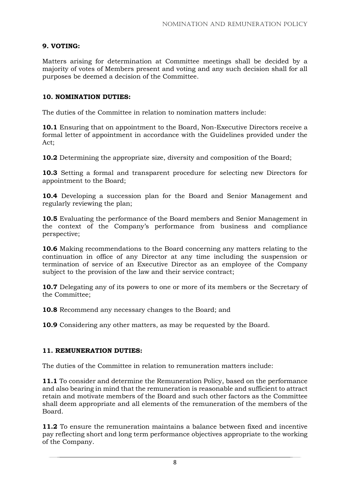# **9. VOTING:**

Matters arising for determination at Committee meetings shall be decided by a majority of votes of Members present and voting and any such decision shall for all purposes be deemed a decision of the Committee.

### **10. NOMINATION DUTIES:**

The duties of the Committee in relation to nomination matters include:

**10.1** Ensuring that on appointment to the Board, Non-Executive Directors receive a formal letter of appointment in accordance with the Guidelines provided under the Act;

**10.2** Determining the appropriate size, diversity and composition of the Board;

**10.3** Setting a formal and transparent procedure for selecting new Directors for appointment to the Board;

**10.4** Developing a succession plan for the Board and Senior Management and regularly reviewing the plan;

**10.5** Evaluating the performance of the Board members and Senior Management in the context of the Company's performance from business and compliance perspective;

**10.6** Making recommendations to the Board concerning any matters relating to the continuation in office of any Director at any time including the suspension or termination of service of an Executive Director as an employee of the Company subject to the provision of the law and their service contract;

**10.7** Delegating any of its powers to one or more of its members or the Secretary of the Committee;

**10.8** Recommend any necessary changes to the Board; and

**10.9** Considering any other matters, as may be requested by the Board.

#### **11. REMUNERATION DUTIES:**

The duties of the Committee in relation to remuneration matters include:

**11.1** To consider and determine the Remuneration Policy, based on the performance and also bearing in mind that the remuneration is reasonable and sufficient to attract retain and motivate members of the Board and such other factors as the Committee shall deem appropriate and all elements of the remuneration of the members of the Board.

**11.2** To ensure the remuneration maintains a balance between fixed and incentive pay reflecting short and long term performance objectives appropriate to the working of the Company.